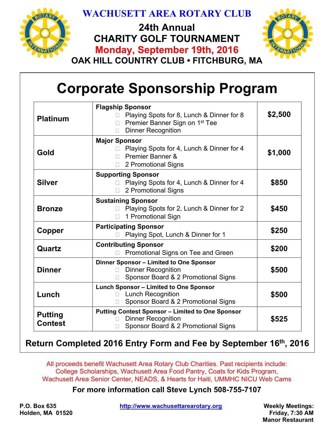

## **WACHUSETT AREA ROTARY CLUB**

**24th Annual CHARITY GOLF TOURNAMENT Monday, September 19th, 2016**



**OAK HILL COUNTRY CLUB • FITCHBURG, MA** 

# **Corporate Sponsorship Program**

| <b>Platinum</b>                  | <b>Flagship Sponsor</b><br>Playing Spots for 8, Lunch & Dinner for 8<br>Premier Banner Sign on 1 <sup>st</sup> Tee<br>$\Box$<br><b>Dinner Recognition</b><br>П | \$2,500 |
|----------------------------------|----------------------------------------------------------------------------------------------------------------------------------------------------------------|---------|
| Gold                             | <b>Major Sponsor</b><br>Playing Spots for 4, Lunch & Dinner for 4<br>Premier Banner &<br>2 Promotional Signs<br>П                                              | \$1,000 |
| <b>Silver</b>                    | <b>Supporting Sponsor</b><br>Playing Spots for 4, Lunch & Dinner for 4<br>2 Promotional Signs                                                                  | \$850   |
| <b>Bronze</b>                    | <b>Sustaining Sponsor</b><br>Playing Spots for 2, Lunch & Dinner for 2<br>1 Promotional Sign                                                                   | \$450   |
| Copper                           | <b>Participating Sponsor</b><br>Playing Spot, Lunch & Dinner for 1                                                                                             | \$250   |
| Quartz                           | <b>Contributing Sponsor</b><br>Promotional Signs on Tee and Green                                                                                              | \$200   |
| <b>Dinner</b>                    | Dinner Sponsor - Limited to One Sponsor<br><b>Dinner Recognition</b><br>П<br>Sponsor Board & 2 Promotional Signs                                               | \$500   |
| Lunch                            | <b>Lunch Sponsor - Limited to One Sponsor</b><br><b>Lunch Recognition</b><br>$\Box$<br>Sponsor Board & 2 Promotional Signs<br>П                                | \$500   |
| <b>Putting</b><br><b>Contest</b> | <b>Putting Contest Sponsor - Limited to One Sponsor</b><br><b>Dinner Recognition</b><br>П<br>Sponsor Board & 2 Promotional Signs                               | \$525   |

### **Return Completed 2016 Entry Form and Fee by September 16th, 2016**

All proceeds benefit Wachusett Area Rotary Club Charities. Past recipients include: College Scholarships, Wachusett Area Food Pantry, Coats for Kids Program, Wachusett Area Senior Center, NEADS, & Hearts for Haiti, UMMHC NICU Web Cams

#### **For more information call Steve Lynch 508-755-7107**

P.O. Box 635 **http://www.wachusettarearotary.org Weekly Meetings:**